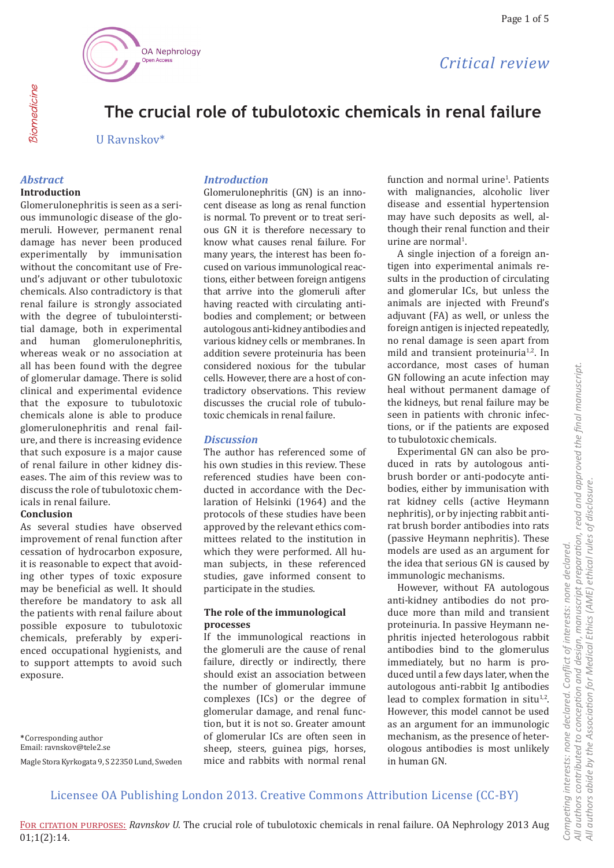

# *Critical review*

# **The crucial role of tubulotoxic chemicals in renal failure**

U Ravnskov\*

## *Abstract*

Biomedicine

Biomedicine

## **Introduction**

Glomerulonephritis is seen as a serious immunologic disease of the glomeruli. However, permanent renal damage has never been produced experimentally by immunisation without the concomitant use of Freund's adjuvant or other tubulotoxic chemicals. Also contradictory is that renal failure is strongly associated with the degree of tubulointerstitial damage, both in experimental and human glomerulonephritis, whereas weak or no association at all has been found with the degree of glomerular damage. There is solid clinical and experimental evidence that the exposure to tubulotoxic chemicals alone is able to produce glomerulonephritis and renal failure, and there is increasing evidence that such exposure is a major cause of renal failure in other kidney diseases. The aim of this review was to discuss the role of tubulotoxic chemicals in renal failure.

### **Conclusion**

As several studies have observed improvement of renal function after cessation of hydrocarbon exposure, it is reasonable to expect that avoiding other types of toxic exposure may be beneficial as well. It should therefore be mandatory to ask all the patients with renal failure about possible exposure to tubulotoxic chemicals, preferably by experienced occupational hygienists, and to support attempts to avoid such exposure.

**\***Corresponding author Email: ravnskov@tele2.se Magle Stora Kyrkogata 9, S 22350 Lund, Sweden

## *Introduction*

Glomerulonephritis (GN) is an innocent disease as long as renal function is normal. To prevent or to treat serious GN it is therefore necessary to know what causes renal failure. For many years, the interest has been focused on various immunological reactions, either between foreign antigens that arrive into the glomeruli after having reacted with circulating antibodies and complement; or between autologous anti-kidney antibodies and various kidney cells or membranes. In addition severe proteinuria has been considered noxious for the tubular cells. However, there are a host of contradictory observations. This review discusses the crucial role of tubulotoxic chemicals in renal failure.

## *Discussion*

The author has referenced some of his own studies in this review. These referenced studies have been conducted in accordance with the Declaration of Helsinki (1964) and the protocols of these studies have been approved by the relevant ethics committees related to the institution in which they were performed. All human subjects, in these referenced studies, gave informed consent to participate in the studies.

### **The role of the immunological processes**

If the immunological reactions in the glomeruli are the cause of renal failure, directly or indirectly, there should exist an association between the number of glomerular immune complexes (ICs) or the degree of glomerular damage, and renal function, but it is not so. Greater amount of glomerular ICs are often seen in sheep, steers, guinea pigs, horses, mice and rabbits with normal renal

function and normal urine<sup>1</sup>. Patients with malignancies, alcoholic liver disease and essential hypertension may have such deposits as well, although their renal function and their urine are normal<sup>1</sup>.

A single injection of a foreign antigen into experimental animals results in the production of circulating and glomerular ICs, but unless the animals are injected with Freund's adjuvant (FA) as well, or unless the foreign antigen is injected repeatedly, no renal damage is seen apart from mild and transient proteinuria<sup>1,2</sup>. In accordance, most cases of human GN following an acute infection may heal without permanent damage of the kidneys, but renal failure may be seen in patients with chronic infections, or if the patients are exposed to tubulotoxic chemicals.

Experimental GN can also be produced in rats by autologous antibrush border or anti-podocyte antibodies, either by immunisation with rat kidney cells (active Heymann nephritis), or by injecting rabbit antirat brush border antibodies into rats (passive Heymann nephritis). These models are used as an argument for the idea that serious GN is caused by immunologic mechanisms.

However, without FA autologous anti-kidney antibodies do not produce more than mild and transient proteinuria. In passive Heymann nephritis injected heterologous rabbit antibodies bind to the glomerulus immediately, but no harm is produced until a few days later, when the autologous anti-rabbit Ig antibodies lead to complex formation in situ $1,2$ . However, this model cannot be used as an argument for an immunologic mechanism, as the presence of heterologous antibodies is most unlikely in human GN.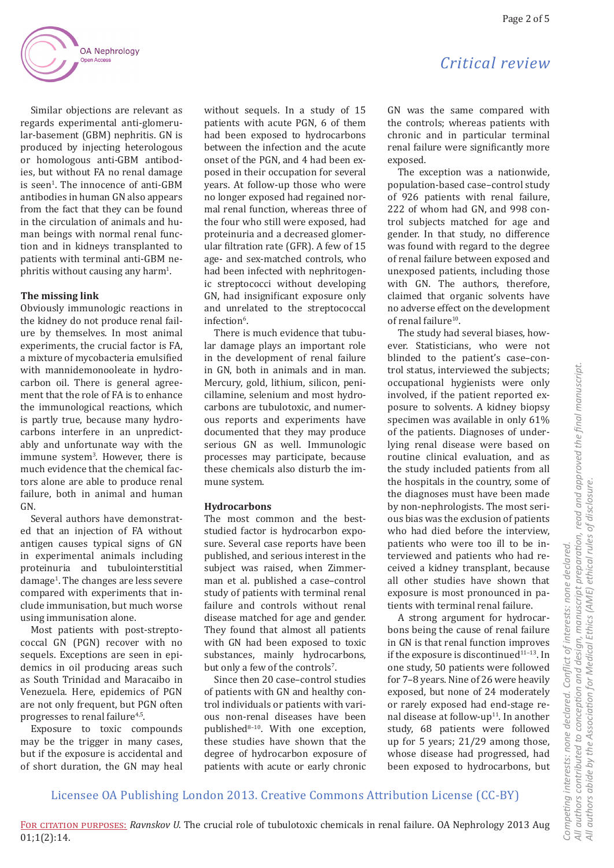

Similar objections are relevant as regards experimental anti-glomerular-basement (GBM) nephritis. GN is produced by injecting heterologous or homologous anti-GBM antibodies, but without FA no renal damage is seen<sup>1</sup>. The innocence of anti-GBM antibodies in human GN also appears from the fact that they can be found in the circulation of animals and human beings with normal renal function and in kidneys transplanted to patients with terminal anti-GBM ne $phritis$  without causing any harm<sup>1</sup>.

#### **The missing link**

Obviously immunologic reactions in the kidney do not produce renal failure by themselves. In most animal experiments, the crucial factor is FA, a mixture of mycobacteria emulsified with mannidemonooleate in hydrocarbon oil. There is general agreement that the role of FA is to enhance the immunological reactions, which is partly true, because many hydrocarbons interfere in an unpredictably and unfortunate way with the immune system<sup>3</sup>. However, there is much evidence that the chemical factors alone are able to produce renal failure, both in animal and human GN.

Several authors have demonstrated that an injection of FA without antigen causes typical signs of GN in experimental animals including proteinuria and tubulointerstitial damage<sup>1</sup> . The changes are less severe compared with experiments that include immunisation, but much worse using immunisation alone.

Most patients with post-streptococcal GN (PGN) recover with no sequels. Exceptions are seen in epidemics in oil producing areas such as South Trinidad and Maracaibo in Venezuela. Here, epidemics of PGN are not only frequent, but PGN often progresses to renal failure<sup>4,5</sup>.

Exposure to toxic compounds may be the trigger in many cases, but if the exposure is accidental and of short duration, the GN may heal

without sequels. In a study of 15 patients with acute PGN, 6 of them had been exposed to hydrocarbons between the infection and the acute onset of the PGN, and 4 had been exposed in their occupation for several years. At follow-up those who were no longer exposed had regained normal renal function, whereas three of the four who still were exposed, had proteinuria and a decreased glomerular filtration rate (GFR). A few of 15 age- and sex-matched controls, who had been infected with nephritogenic streptococci without developing GN, had insignificant exposure only and unrelated to the streptococcal infection<sup>6</sup>.

There is much evidence that tubular damage plays an important role in the development of renal failure in GN, both in animals and in man. Mercury, gold, lithium, silicon, penicillamine, selenium and most hydrocarbons are tubulotoxic, and numerous reports and experiments have documented that they may produce serious GN as well. Immunologic processes may participate, because these chemicals also disturb the immune system.

### **Hydrocarbons**

The most common and the beststudied factor is hydrocarbon exposure. Several case reports have been published, and serious interest in the subject was raised, when Zimmerman et al. published a case–control study of patients with terminal renal failure and controls without renal disease matched for age and gender. They found that almost all patients with GN had been exposed to toxic substances, mainly hydrocarbons, but only a few of the controls<sup>7</sup>.

Since then 20 case–control studies of patients with GN and healthy control individuals or patients with various non-renal diseases have been published8–10. With one exception, these studies have shown that the degree of hydrocarbon exposure of patients with acute or early chronic

# *Critical review*

GN was the same compared with the controls; whereas patients with chronic and in particular terminal renal failure were significantly more exposed.

The exception was a nationwide, population-based case–control study of 926 patients with renal failure, 222 of whom had GN, and 998 control subjects matched for age and gender. In that study, no difference was found with regard to the degree of renal failure between exposed and unexposed patients, including those with GN. The authors, therefore, claimed that organic solvents have no adverse effect on the development of renal failure<sup>10</sup>.

The study had several biases, however. Statisticians, who were not blinded to the patient's case–control status, interviewed the subjects; occupational hygienists were only involved, if the patient reported exposure to solvents. A kidney biopsy specimen was available in only 61% of the patients. Diagnoses of underlying renal disease were based on routine clinical evaluation, and as the study included patients from all the hospitals in the country, some of the diagnoses must have been made by non-nephrologists. The most serious bias was the exclusion of patients who had died before the interview, patients who were too ill to be interviewed and patients who had received a kidney transplant, because all other studies have shown that exposure is most pronounced in patients with terminal renal failure.

A strong argument for hydrocarbons being the cause of renal failure in GN is that renal function improves if the exposure is discontinued $11-13$ . In one study, 50 patients were followed for 7–8 years. Nine of 26 were heavily exposed, but none of 24 moderately or rarely exposed had end-stage renal disease at follow-up<sup>11</sup>. In another study, 68 patients were followed up for 5 years; 21/29 among those, whose disease had progressed, had been exposed to hydrocarbons, but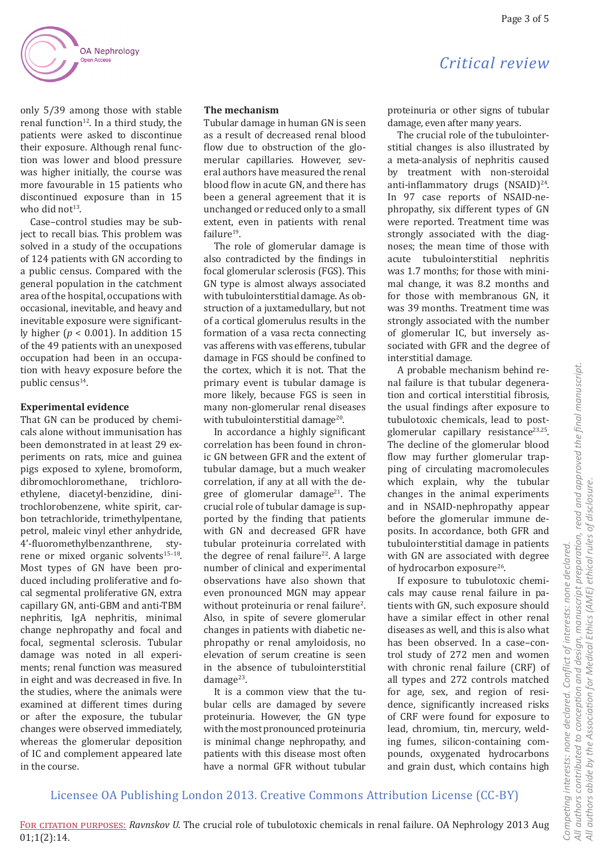# *Critical review*

only 5/39 among those with stable renal function<sup>12</sup>. In a third study, the patients were asked to discontinue their exposure. Although renal function was lower and blood pressure was higher initially, the course was more favourable in 15 patients who discontinued exposure than in 15 who did not $13$ .

Case–control studies may be subject to recall bias. This problem was solved in a study of the occupations of 124 patients with GN according to a public census. Compared with the general population in the catchment area of the hospital, occupations with occasional, inevitable, and heavy and inevitable exposure were significantly higher (*p* < 0.001). In addition 15 of the 49 patients with an unexposed occupation had been in an occupation with heavy exposure before the public census14.

### **Experimental evidence**

That GN can be produced by chemicals alone without immunisation has been demonstrated in at least 29 experiments on rats, mice and guinea pigs exposed to xylene, bromoform, dibromochloromethane, trichloroethylene, diacetyl-benzidine, dinitrochlorobenzene, white spirit, carbon tetrachloride, trimethylpentane, petrol, maleic vinyl ether anhydride, 4'-fluoromethylbenzanthrene, styrene or mixed organic solvents<sup>15-18</sup>. Most types of GN have been produced including proliferative and focal segmental proliferative GN, extra capillary GN, anti-GBM and anti-TBM nephritis, IgA nephritis, minimal change nephropathy and focal and focal, segmental sclerosis. Tubular damage was noted in all experiments; renal function was measured in eight and was decreased in five. In the studies, where the animals were examined at different times during or after the exposure, the tubular changes were observed immediately, whereas the glomerular deposition of IC and complement appeared late in the course.

#### **The mechanism**

Tubular damage in human GN is seen as a result of decreased renal blood flow due to obstruction of the glomerular capillaries. However, several authors have measured the renal blood flow in acute GN, and there has been a general agreement that it is unchanged or reduced only to a small extent, even in patients with renal failure<sup>19</sup>.

The role of glomerular damage is also contradicted by the findings in focal glomerular sclerosis (FGS). This GN type is almost always associated with tubulointerstitial damage. As obstruction of a juxtamedullary, but not of a cortical glomerulus results in the formation of a vasa recta connecting vas afferens with vas efferens, tubular damage in FGS should be confined to the cortex, which it is not. That the primary event is tubular damage is more likely, because FGS is seen in many non-glomerular renal diseases with tubulointerstitial damage<sup>20</sup>.

In accordance a highly significant correlation has been found in chronic GN between GFR and the extent of tubular damage, but a much weaker correlation, if any at all with the degree of glomerular damage<sup>21</sup>. The crucial role of tubular damage is supported by the finding that patients with GN and decreased GFR have tubular proteinuria correlated with the degree of renal failure<sup>22</sup>. A large number of clinical and experimental observations have also shown that even pronounced MGN may appear without proteinuria or renal failure<sup>2</sup>. Also, in spite of severe glomerular changes in patients with diabetic nephropathy or renal amyloidosis, no elevation of serum creatine is seen in the absence of tubulointerstitial damage $^{23}$ .

It is a common view that the tubular cells are damaged by severe proteinuria. However, the GN type with the most pronounced proteinuria is minimal change nephropathy, and patients with this disease most often have a normal GFR without tubular

proteinuria or other signs of tubular damage, even after many years.

The crucial role of the tubulointerstitial changes is also illustrated by a meta-analysis of nephritis caused by treatment with non-steroidal anti-inflammatory drugs (NSAID)<sup>24</sup>. In 97 case reports of NSAID-nephropathy, six different types of GN were reported. Treatment time was strongly associated with the diagnoses; the mean time of those with acute tubulointerstitial nephritis was 1.7 months; for those with minimal change, it was 8.2 months and for those with membranous GN, it was 39 months. Treatment time was strongly associated with the number of glomerular IC, but inversely associated with GFR and the degree of interstitial damage.

A probable mechanism behind renal failure is that tubular degeneration and cortical interstitial fibrosis, the usual findings after exposure to tubulotoxic chemicals, lead to postglomerular capillary resistance<sup>23,25</sup>. The decline of the glomerular blood flow may further glomerular trapping of circulating macromolecules which explain, why the tubular changes in the animal experiments and in NSAID-nephropathy appear before the glomerular immune deposits. In accordance, both GFR and tubulointerstitial damage in patients with GN are associated with degree of hydrocarbon exposure<sup>26</sup>.

If exposure to tubulotoxic chemicals may cause renal failure in patients with GN, such exposure should have a similar effect in other renal diseases as well, and this is also what has been observed. In a case–control study of 272 men and women with chronic renal failure (CRF) of all types and 272 controls matched for age, sex, and region of residence, significantly increased risks of CRF were found for exposure to lead, chromium, tin, mercury, welding fumes, silicon-containing compounds, oxygenated hydrocarbons and grain dust, which contains high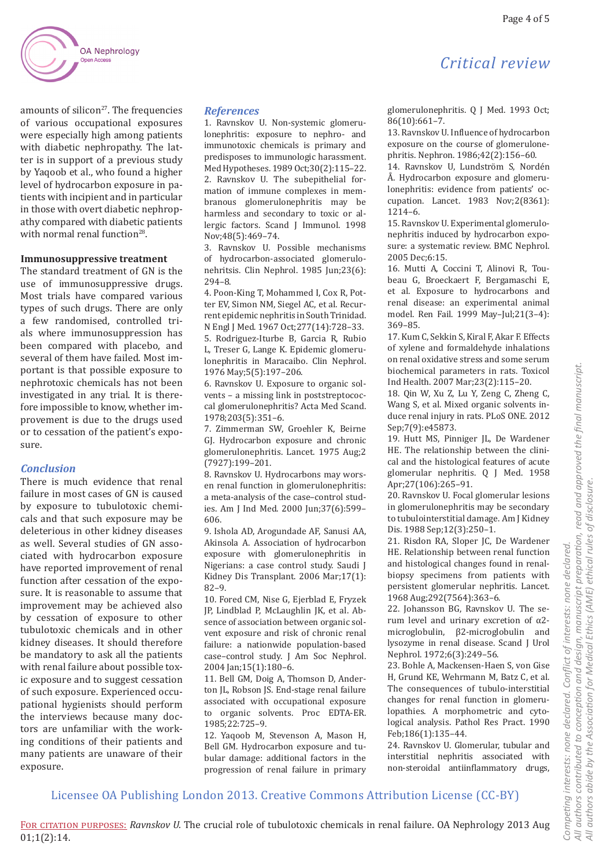

amounts of silicon $27$ . The frequencies of various occupational exposures were especially high among patients with diabetic nephropathy. The latter is in support of a previous study by Yaqoob et al., who found a higher level of hydrocarbon exposure in patients with incipient and in particular in those with overt diabetic nephropathy compared with diabetic patients with normal renal function<sup>28</sup>.

#### **Immunosuppressive treatment**

The standard treatment of GN is the use of immunosuppressive drugs. Most trials have compared various types of such drugs. There are only a few randomised, controlled trials where immunosuppression has been compared with placebo, and several of them have failed. Most important is that possible exposure to nephrotoxic chemicals has not been investigated in any trial. It is therefore impossible to know, whether improvement is due to the drugs used or to cessation of the patient's exposure.

### *Conclusion*

There is much evidence that renal failure in most cases of GN is caused by exposure to tubulotoxic chemicals and that such exposure may be deleterious in other kidney diseases as well. Several studies of GN associated with hydrocarbon exposure have reported improvement of renal function after cessation of the exposure. It is reasonable to assume that improvement may be achieved also by cessation of exposure to other tubulotoxic chemicals and in other kidney diseases. It should therefore be mandatory to ask all the patients with renal failure about possible toxic exposure and to suggest cessation of such exposure. Experienced occupational hygienists should perform the interviews because many doctors are unfamiliar with the working conditions of their patients and many patients are unaware of their exposure.

#### *References*

1. Ravnskov U. Non-systemic glomerulonephritis: exposure to nephro- and immunotoxic chemicals is primary and predisposes to immunologic harassment. Med Hypotheses. 1989 Oct;30(2):115–22. 2. Ravnskov U. The subepithelial formation of immune complexes in membranous glomerulonephritis may be harmless and secondary to toxic or allergic factors. Scand J Immunol. 1998 Nov;48(5):469–74.

3. Ravnskov U. Possible mechanisms of hydrocarbon-associated glomerulonehritsis. Clin Nephrol. 1985 Jun;23(6): 294–8.

4. Poon-King T, Mohammed I, Cox R, Potter EV, Simon NM, Siegel AC, et al. Recurrent epidemic nephritis in South Trinidad. N Engl J Med. 1967 Oct;277(14):728–33. 5. Rodriguez-Iturbe B, Garcia R, Rubio L, Treser G, Lange K. Epidemic glomerulonephritis in Maracaibo. Clin Nephrol. 1976 May;5(5):197–206.

6. Ravnskov U. Exposure to organic solvents – a missing link in poststreptococcal glomerulonephritis? Acta Med Scand. 1978;203(5):351–6.

7. Zimmerman SW, Groehler K, Beirne GJ. Hydrocarbon exposure and chronic glomerulonephritis. Lancet. 1975 Aug;2 (7927):199–201.

8. Ravnskov U. Hydrocarbons may worsen renal function in glomerulonephritis: a meta-analysis of the case–control studies. Am J Ind Med. 2000 Jun;37(6):599– 606.

9. Ishola AD, Arogundade AF, Sanusi AA, Akinsola A. Association of hydrocarbon exposure with glomerulonephritis in Nigerians: a case control study. Saudi J Kidney Dis Transplant. 2006 Mar;17(1): 82–9.

10. Fored CM, Nise G, Ejerblad E, Fryzek JP, Lindblad P, McLaughlin JK, et al. Absence of association between organic solvent exposure and risk of chronic renal failure: a nationwide population-based case–control study. J Am Soc Nephrol. 2004 Jan;15(1):180–6.

11. Bell GM, Doig A, Thomson D, Anderton JL, Robson JS. End-stage renal failure associated with occupational exposure to organic solvents. Proc EDTA-ER. 1985;22:725–9.

12. Yaqoob M, Stevenson A, Mason H, Bell GM. Hydrocarbon exposure and tubular damage: additional factors in the progression of renal failure in primary

glomerulonephritis. Q J Med. 1993 Oct; 86(10):661–7.

*Critical review*

13. Ravnskov U. Influence of hydrocarbon exposure on the course of glomerulonephritis. Nephron. 1986;42(2):156–60.

14. Ravnskov U, Lundström S, Nordén Å. Hydrocarbon exposure and glomerulonephritis: evidence from patients' occupation. Lancet. 1983 Nov;2(8361): 1214–6.

15. Ravnskov U. Experimental glomerulonephritis induced by hydrocarbon exposure: a systematic review. BMC Nephrol. 2005 Dec;6:15.

16. Mutti A, Coccini T, Alinovi R, Toubeau G, Broeckaert F, Bergamaschi E, et al. Exposure to hydrocarbons and renal disease: an experimental animal model. Ren Fail. 1999 May–Jul;21(3–4): 369–85.

17. Kum C, Sekkin S, Kiral F, Akar F. Effects of xylene and formaldehyde inhalations on renal oxidative stress and some serum biochemical parameters in rats. Toxicol Ind Health. 2007 Mar;23(2):115–20.

18. Qin W, Xu Z, Lu Y, Zeng C, Zheng C, Wang S, et al. Mixed organic solvents induce renal injury in rats. PLoS ONE. 2012 Sep;7(9):e45873.

19. Hutt MS, Pinniger JL, De Wardener HE. The relationship between the clinical and the histological features of acute glomerular nephritis. Q J Med. 1958 Apr;27(106):265–91.

20. Ravnskov U. Focal glomerular lesions in glomerulonephritis may be secondary to tubulointerstitial damage. Am J Kidney Dis. 1988 Sep;12(3):250–1.

21. Risdon RA, Sloper JC, De Wardener HE. Relationship between renal function and histological changes found in renalbiopsy specimens from patients with persistent glomerular nephritis. Lancet. 1968 Aug;292(7564):363–6.

22. Johansson BG, Ravnskov U. The serum level and urinary excretion of α2 microglobulin, β2-microglobulin and lysozyme in renal disease. Scand J Urol Nephrol. 1972;6(3):249–56.

23. Bohle A, Mackensen-Haen S, von Gise H, Grund KE, Wehrmann M, Batz C, et al. The consequences of tubulo-interstitial changes for renal function in glomerulopathies. A morphometric and cytological analysis. Pathol Res Pract. 1990 Feb;186(1):135–44.

24. Ravnskov U. Glomerular, tubular and interstitial nephritis associated with non-steroidal antiinflammatory drugs,